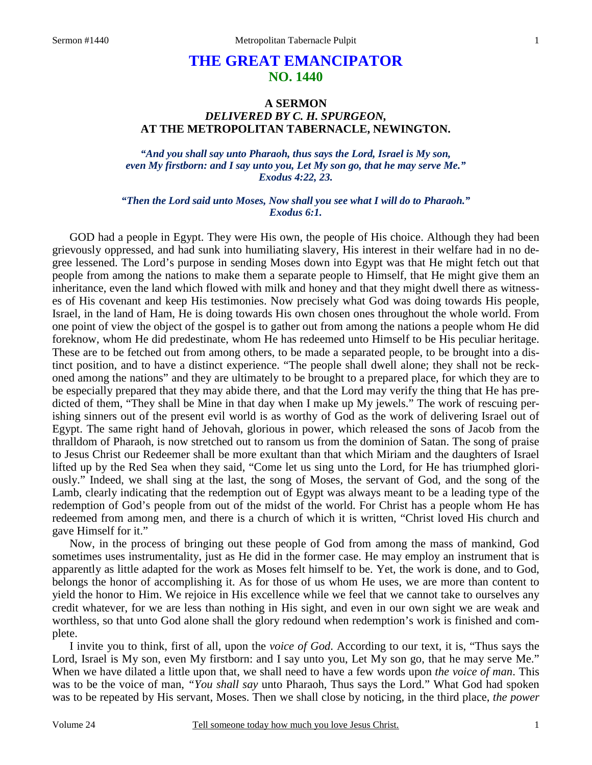# **THE GREAT EMANCIPATOR NO. 1440**

## **A SERMON**  *DELIVERED BY C. H. SPURGEON,*  **AT THE METROPOLITAN TABERNACLE, NEWINGTON.**

*"And you shall say unto Pharaoh, thus says the Lord, Israel is My son, even My firstborn: and I say unto you, Let My son go, that he may serve Me." Exodus 4:22, 23.* 

*"Then the Lord said unto Moses, Now shall you see what I will do to Pharaoh." Exodus 6:1.* 

GOD had a people in Egypt. They were His own, the people of His choice. Although they had been grievously oppressed, and had sunk into humiliating slavery, His interest in their welfare had in no degree lessened. The Lord's purpose in sending Moses down into Egypt was that He might fetch out that people from among the nations to make them a separate people to Himself, that He might give them an inheritance, even the land which flowed with milk and honey and that they might dwell there as witnesses of His covenant and keep His testimonies. Now precisely what God was doing towards His people, Israel, in the land of Ham, He is doing towards His own chosen ones throughout the whole world. From one point of view the object of the gospel is to gather out from among the nations a people whom He did foreknow, whom He did predestinate, whom He has redeemed unto Himself to be His peculiar heritage. These are to be fetched out from among others, to be made a separated people, to be brought into a distinct position, and to have a distinct experience. "The people shall dwell alone; they shall not be reckoned among the nations" and they are ultimately to be brought to a prepared place, for which they are to be especially prepared that they may abide there, and that the Lord may verify the thing that He has predicted of them, "They shall be Mine in that day when I make up My jewels." The work of rescuing perishing sinners out of the present evil world is as worthy of God as the work of delivering Israel out of Egypt. The same right hand of Jehovah, glorious in power, which released the sons of Jacob from the thralldom of Pharaoh, is now stretched out to ransom us from the dominion of Satan. The song of praise to Jesus Christ our Redeemer shall be more exultant than that which Miriam and the daughters of Israel lifted up by the Red Sea when they said, "Come let us sing unto the Lord, for He has triumphed gloriously." Indeed, we shall sing at the last, the song of Moses, the servant of God, and the song of the Lamb, clearly indicating that the redemption out of Egypt was always meant to be a leading type of the redemption of God's people from out of the midst of the world. For Christ has a people whom He has redeemed from among men, and there is a church of which it is written, "Christ loved His church and gave Himself for it."

Now, in the process of bringing out these people of God from among the mass of mankind, God sometimes uses instrumentality, just as He did in the former case. He may employ an instrument that is apparently as little adapted for the work as Moses felt himself to be. Yet, the work is done, and to God, belongs the honor of accomplishing it. As for those of us whom He uses, we are more than content to yield the honor to Him. We rejoice in His excellence while we feel that we cannot take to ourselves any credit whatever, for we are less than nothing in His sight, and even in our own sight we are weak and worthless, so that unto God alone shall the glory redound when redemption's work is finished and complete.

I invite you to think, first of all, upon the *voice of God*. According to our text, it is, "Thus says the Lord, Israel is My son, even My firstborn: and I say unto you, Let My son go, that he may serve Me." When we have dilated a little upon that, we shall need to have a few words upon *the voice of man*. This was to be the voice of man, *"You shall say* unto Pharaoh, Thus says the Lord." What God had spoken was to be repeated by His servant, Moses. Then we shall close by noticing, in the third place, *the power*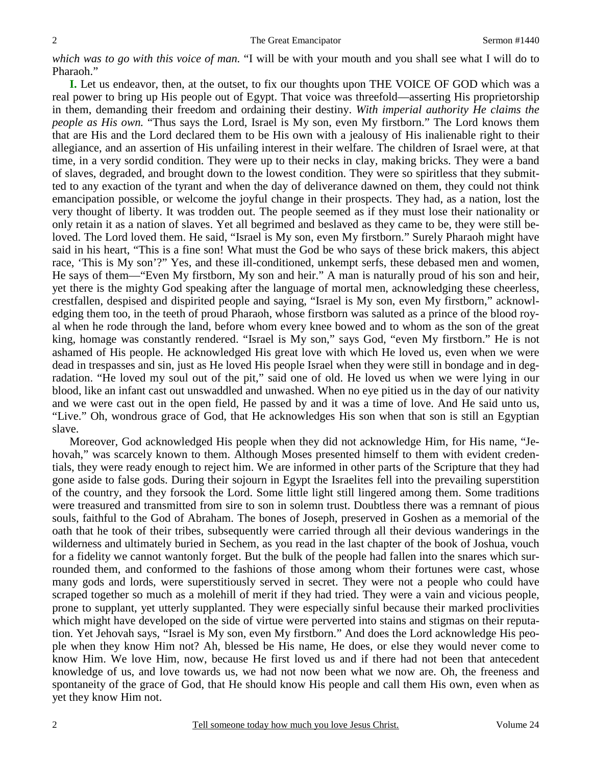*which was to go with this voice of man.* "I will be with your mouth and you shall see what I will do to Pharaoh."

**I.** Let us endeavor, then, at the outset, to fix our thoughts upon THE VOICE OF GOD which was a real power to bring up His people out of Egypt. That voice was threefold—asserting His proprietorship in them, demanding their freedom and ordaining their destiny. *With imperial authority He claims the people as His own.* "Thus says the Lord, Israel is My son, even My firstborn." The Lord knows them that are His and the Lord declared them to be His own with a jealousy of His inalienable right to their allegiance, and an assertion of His unfailing interest in their welfare. The children of Israel were, at that time, in a very sordid condition. They were up to their necks in clay, making bricks. They were a band of slaves, degraded, and brought down to the lowest condition. They were so spiritless that they submitted to any exaction of the tyrant and when the day of deliverance dawned on them, they could not think emancipation possible, or welcome the joyful change in their prospects. They had, as a nation, lost the very thought of liberty. It was trodden out. The people seemed as if they must lose their nationality or only retain it as a nation of slaves. Yet all begrimed and beslaved as they came to be, they were still beloved. The Lord loved them. He said, "Israel is My son, even My firstborn." Surely Pharaoh might have said in his heart, "This is a fine son! What must the God be who says of these brick makers, this abject race, 'This is My son'?" Yes, and these ill-conditioned, unkempt serfs, these debased men and women, He says of them—"Even My firstborn, My son and heir." A man is naturally proud of his son and heir, yet there is the mighty God speaking after the language of mortal men, acknowledging these cheerless, crestfallen, despised and dispirited people and saying, "Israel is My son, even My firstborn," acknowledging them too, in the teeth of proud Pharaoh, whose firstborn was saluted as a prince of the blood royal when he rode through the land, before whom every knee bowed and to whom as the son of the great king, homage was constantly rendered. "Israel is My son," says God, "even My firstborn." He is not ashamed of His people. He acknowledged His great love with which He loved us, even when we were dead in trespasses and sin, just as He loved His people Israel when they were still in bondage and in degradation. "He loved my soul out of the pit," said one of old. He loved us when we were lying in our blood, like an infant cast out unswaddled and unwashed. When no eye pitied us in the day of our nativity and we were cast out in the open field, He passed by and it was a time of love. And He said unto us, "Live." Oh, wondrous grace of God, that He acknowledges His son when that son is still an Egyptian slave.

Moreover, God acknowledged His people when they did not acknowledge Him, for His name, "Jehovah," was scarcely known to them. Although Moses presented himself to them with evident credentials, they were ready enough to reject him. We are informed in other parts of the Scripture that they had gone aside to false gods. During their sojourn in Egypt the Israelites fell into the prevailing superstition of the country, and they forsook the Lord. Some little light still lingered among them. Some traditions were treasured and transmitted from sire to son in solemn trust. Doubtless there was a remnant of pious souls, faithful to the God of Abraham. The bones of Joseph, preserved in Goshen as a memorial of the oath that he took of their tribes, subsequently were carried through all their devious wanderings in the wilderness and ultimately buried in Sechem, as you read in the last chapter of the book of Joshua, vouch for a fidelity we cannot wantonly forget. But the bulk of the people had fallen into the snares which surrounded them, and conformed to the fashions of those among whom their fortunes were cast, whose many gods and lords, were superstitiously served in secret. They were not a people who could have scraped together so much as a molehill of merit if they had tried. They were a vain and vicious people, prone to supplant, yet utterly supplanted. They were especially sinful because their marked proclivities which might have developed on the side of virtue were perverted into stains and stigmas on their reputation. Yet Jehovah says, "Israel is My son, even My firstborn." And does the Lord acknowledge His people when they know Him not? Ah, blessed be His name, He does, or else they would never come to know Him. We love Him, now, because He first loved us and if there had not been that antecedent knowledge of us, and love towards us, we had not now been what we now are. Oh, the freeness and spontaneity of the grace of God, that He should know His people and call them His own, even when as yet they know Him not.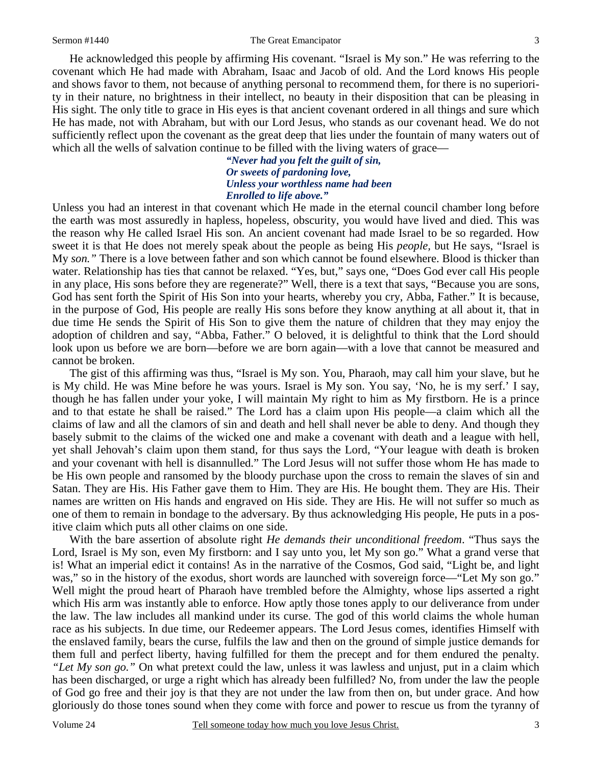#### Sermon #1440 The Great Emancipator

He acknowledged this people by affirming His covenant. "Israel is My son." He was referring to the covenant which He had made with Abraham, Isaac and Jacob of old. And the Lord knows His people and shows favor to them, not because of anything personal to recommend them, for there is no superiority in their nature, no brightness in their intellect, no beauty in their disposition that can be pleasing in His sight. The only title to grace in His eyes is that ancient covenant ordered in all things and sure which He has made, not with Abraham, but with our Lord Jesus, who stands as our covenant head. We do not sufficiently reflect upon the covenant as the great deep that lies under the fountain of many waters out of which all the wells of salvation continue to be filled with the living waters of grace—

> *"Never had you felt the guilt of sin, Or sweets of pardoning love, Unless your worthless name had been Enrolled to life above."*

Unless you had an interest in that covenant which He made in the eternal council chamber long before the earth was most assuredly in hapless, hopeless, obscurity, you would have lived and died. This was the reason why He called Israel His son. An ancient covenant had made Israel to be so regarded. How sweet it is that He does not merely speak about the people as being His *people,* but He says, "Israel is My *son."* There is a love between father and son which cannot be found elsewhere. Blood is thicker than water. Relationship has ties that cannot be relaxed. "Yes, but," says one, "Does God ever call His people in any place, His sons before they are regenerate?" Well, there is a text that says, "Because you are sons, God has sent forth the Spirit of His Son into your hearts, whereby you cry, Abba, Father." It is because, in the purpose of God, His people are really His sons before they know anything at all about it, that in due time He sends the Spirit of His Son to give them the nature of children that they may enjoy the adoption of children and say, "Abba, Father." O beloved, it is delightful to think that the Lord should look upon us before we are born—before we are born again—with a love that cannot be measured and cannot be broken.

The gist of this affirming was thus, "Israel is My son. You, Pharaoh, may call him your slave, but he is My child. He was Mine before he was yours. Israel is My son. You say, 'No, he is my serf.' I say, though he has fallen under your yoke, I will maintain My right to him as My firstborn. He is a prince and to that estate he shall be raised." The Lord has a claim upon His people—a claim which all the claims of law and all the clamors of sin and death and hell shall never be able to deny. And though they basely submit to the claims of the wicked one and make a covenant with death and a league with hell, yet shall Jehovah's claim upon them stand, for thus says the Lord, "Your league with death is broken and your covenant with hell is disannulled." The Lord Jesus will not suffer those whom He has made to be His own people and ransomed by the bloody purchase upon the cross to remain the slaves of sin and Satan. They are His. His Father gave them to Him. They are His. He bought them. They are His. Their names are written on His hands and engraved on His side. They are His. He will not suffer so much as one of them to remain in bondage to the adversary. By thus acknowledging His people, He puts in a positive claim which puts all other claims on one side.

With the bare assertion of absolute right *He demands their unconditional freedom*. "Thus says the Lord, Israel is My son, even My firstborn: and I say unto you, let My son go." What a grand verse that is! What an imperial edict it contains! As in the narrative of the Cosmos, God said, "Light be, and light was," so in the history of the exodus, short words are launched with sovereign force—"Let My son go." Well might the proud heart of Pharaoh have trembled before the Almighty, whose lips asserted a right which His arm was instantly able to enforce. How aptly those tones apply to our deliverance from under the law. The law includes all mankind under its curse. The god of this world claims the whole human race as his subjects. In due time, our Redeemer appears. The Lord Jesus comes, identifies Himself with the enslaved family, bears the curse, fulfils the law and then on the ground of simple justice demands for them full and perfect liberty, having fulfilled for them the precept and for them endured the penalty. *"Let My son go."* On what pretext could the law, unless it was lawless and unjust, put in a claim which has been discharged, or urge a right which has already been fulfilled? No, from under the law the people of God go free and their joy is that they are not under the law from then on, but under grace. And how gloriously do those tones sound when they come with force and power to rescue us from the tyranny of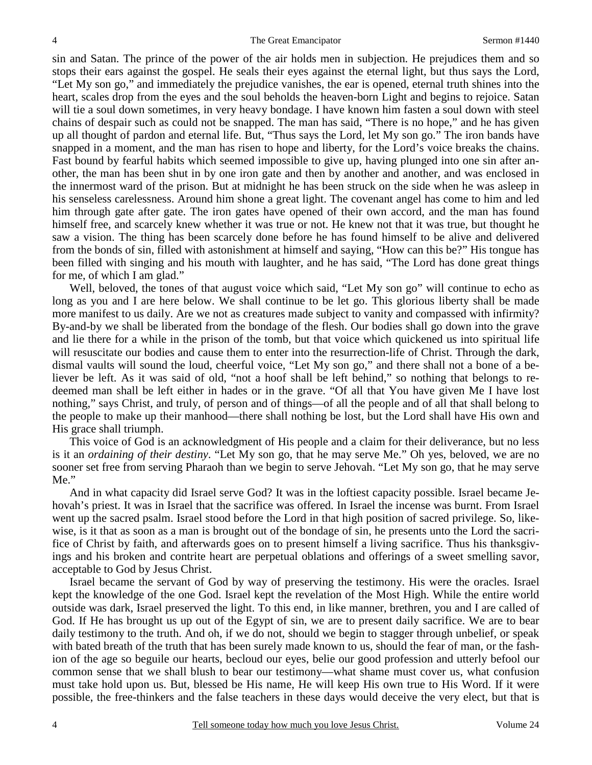sin and Satan. The prince of the power of the air holds men in subjection. He prejudices them and so stops their ears against the gospel. He seals their eyes against the eternal light, but thus says the Lord, "Let My son go," and immediately the prejudice vanishes, the ear is opened, eternal truth shines into the heart, scales drop from the eyes and the soul beholds the heaven-born Light and begins to rejoice. Satan will tie a soul down sometimes, in very heavy bondage. I have known him fasten a soul down with steel chains of despair such as could not be snapped. The man has said, "There is no hope," and he has given up all thought of pardon and eternal life. But, "Thus says the Lord, let My son go." The iron bands have snapped in a moment, and the man has risen to hope and liberty, for the Lord's voice breaks the chains. Fast bound by fearful habits which seemed impossible to give up, having plunged into one sin after another, the man has been shut in by one iron gate and then by another and another, and was enclosed in the innermost ward of the prison. But at midnight he has been struck on the side when he was asleep in his senseless carelessness. Around him shone a great light. The covenant angel has come to him and led him through gate after gate. The iron gates have opened of their own accord, and the man has found himself free, and scarcely knew whether it was true or not. He knew not that it was true, but thought he saw a vision. The thing has been scarcely done before he has found himself to be alive and delivered from the bonds of sin, filled with astonishment at himself and saying, "How can this be?" His tongue has been filled with singing and his mouth with laughter, and he has said, "The Lord has done great things for me, of which I am glad."

Well, beloved, the tones of that august voice which said, "Let My son go" will continue to echo as long as you and I are here below. We shall continue to be let go. This glorious liberty shall be made more manifest to us daily. Are we not as creatures made subject to vanity and compassed with infirmity? By-and-by we shall be liberated from the bondage of the flesh. Our bodies shall go down into the grave and lie there for a while in the prison of the tomb, but that voice which quickened us into spiritual life will resuscitate our bodies and cause them to enter into the resurrection-life of Christ. Through the dark, dismal vaults will sound the loud, cheerful voice, "Let My son go," and there shall not a bone of a believer be left. As it was said of old, "not a hoof shall be left behind," so nothing that belongs to redeemed man shall be left either in hades or in the grave. "Of all that You have given Me I have lost nothing," says Christ, and truly, of person and of things—of all the people and of all that shall belong to the people to make up their manhood—there shall nothing be lost, but the Lord shall have His own and His grace shall triumph.

This voice of God is an acknowledgment of His people and a claim for their deliverance, but no less is it an *ordaining of their destiny*. "Let My son go, that he may serve Me." Oh yes, beloved, we are no sooner set free from serving Pharaoh than we begin to serve Jehovah. "Let My son go, that he may serve Me."

And in what capacity did Israel serve God? It was in the loftiest capacity possible. Israel became Jehovah's priest. It was in Israel that the sacrifice was offered. In Israel the incense was burnt. From Israel went up the sacred psalm. Israel stood before the Lord in that high position of sacred privilege. So, likewise, is it that as soon as a man is brought out of the bondage of sin, he presents unto the Lord the sacrifice of Christ by faith, and afterwards goes on to present himself a living sacrifice. Thus his thanksgivings and his broken and contrite heart are perpetual oblations and offerings of a sweet smelling savor, acceptable to God by Jesus Christ.

Israel became the servant of God by way of preserving the testimony. His were the oracles. Israel kept the knowledge of the one God. Israel kept the revelation of the Most High. While the entire world outside was dark, Israel preserved the light. To this end, in like manner, brethren, you and I are called of God. If He has brought us up out of the Egypt of sin, we are to present daily sacrifice. We are to bear daily testimony to the truth. And oh, if we do not, should we begin to stagger through unbelief, or speak with bated breath of the truth that has been surely made known to us, should the fear of man, or the fashion of the age so beguile our hearts, becloud our eyes, belie our good profession and utterly befool our common sense that we shall blush to bear our testimony—what shame must cover us, what confusion must take hold upon us. But, blessed be His name, He will keep His own true to His Word. If it were possible, the free-thinkers and the false teachers in these days would deceive the very elect, but that is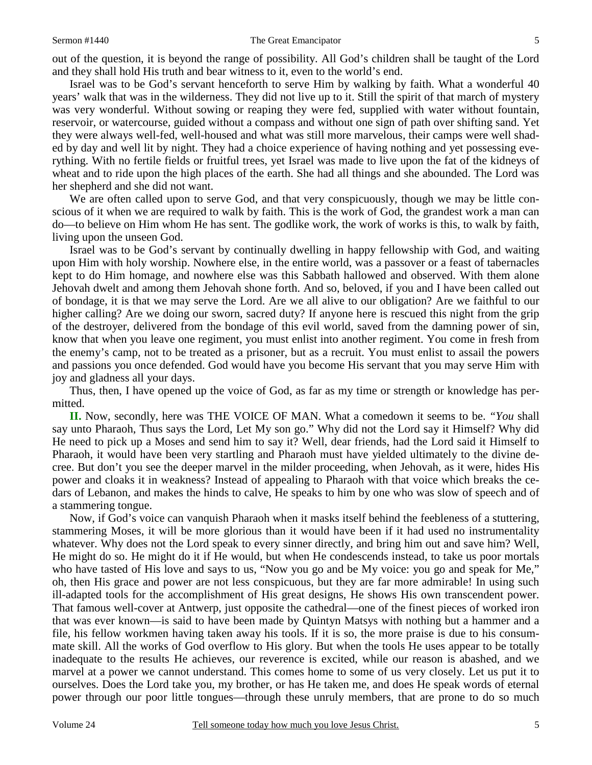#### Sermon #1440 The Great Emancipator

out of the question, it is beyond the range of possibility. All God's children shall be taught of the Lord and they shall hold His truth and bear witness to it, even to the world's end.

Israel was to be God's servant henceforth to serve Him by walking by faith. What a wonderful 40 years' walk that was in the wilderness. They did not live up to it. Still the spirit of that march of mystery was very wonderful. Without sowing or reaping they were fed, supplied with water without fountain, reservoir, or watercourse, guided without a compass and without one sign of path over shifting sand. Yet they were always well-fed, well-housed and what was still more marvelous, their camps were well shaded by day and well lit by night. They had a choice experience of having nothing and yet possessing everything. With no fertile fields or fruitful trees, yet Israel was made to live upon the fat of the kidneys of wheat and to ride upon the high places of the earth. She had all things and she abounded. The Lord was her shepherd and she did not want.

We are often called upon to serve God, and that very conspicuously, though we may be little conscious of it when we are required to walk by faith. This is the work of God, the grandest work a man can do—to believe on Him whom He has sent. The godlike work, the work of works is this, to walk by faith, living upon the unseen God.

Israel was to be God's servant by continually dwelling in happy fellowship with God, and waiting upon Him with holy worship. Nowhere else, in the entire world, was a passover or a feast of tabernacles kept to do Him homage, and nowhere else was this Sabbath hallowed and observed. With them alone Jehovah dwelt and among them Jehovah shone forth. And so, beloved, if you and I have been called out of bondage, it is that we may serve the Lord. Are we all alive to our obligation? Are we faithful to our higher calling? Are we doing our sworn, sacred duty? If anyone here is rescued this night from the grip of the destroyer, delivered from the bondage of this evil world, saved from the damning power of sin, know that when you leave one regiment, you must enlist into another regiment. You come in fresh from the enemy's camp, not to be treated as a prisoner, but as a recruit. You must enlist to assail the powers and passions you once defended. God would have you become His servant that you may serve Him with joy and gladness all your days.

Thus, then, I have opened up the voice of God, as far as my time or strength or knowledge has permitted.

**II.** Now, secondly, here was THE VOICE OF MAN. What a comedown it seems to be. *"You* shall say unto Pharaoh, Thus says the Lord, Let My son go." Why did not the Lord say it Himself? Why did He need to pick up a Moses and send him to say it? Well, dear friends, had the Lord said it Himself to Pharaoh, it would have been very startling and Pharaoh must have yielded ultimately to the divine decree. But don't you see the deeper marvel in the milder proceeding, when Jehovah, as it were, hides His power and cloaks it in weakness? Instead of appealing to Pharaoh with that voice which breaks the cedars of Lebanon, and makes the hinds to calve, He speaks to him by one who was slow of speech and of a stammering tongue.

Now, if God's voice can vanquish Pharaoh when it masks itself behind the feebleness of a stuttering, stammering Moses, it will be more glorious than it would have been if it had used no instrumentality whatever. Why does not the Lord speak to every sinner directly, and bring him out and save him? Well, He might do so. He might do it if He would, but when He condescends instead, to take us poor mortals who have tasted of His love and says to us, "Now you go and be My voice: you go and speak for Me," oh, then His grace and power are not less conspicuous, but they are far more admirable! In using such ill-adapted tools for the accomplishment of His great designs, He shows His own transcendent power. That famous well-cover at Antwerp, just opposite the cathedral—one of the finest pieces of worked iron that was ever known—is said to have been made by Quintyn Matsys with nothing but a hammer and a file, his fellow workmen having taken away his tools. If it is so, the more praise is due to his consummate skill. All the works of God overflow to His glory. But when the tools He uses appear to be totally inadequate to the results He achieves, our reverence is excited, while our reason is abashed, and we marvel at a power we cannot understand. This comes home to some of us very closely. Let us put it to ourselves. Does the Lord take you, my brother, or has He taken me, and does He speak words of eternal power through our poor little tongues—through these unruly members, that are prone to do so much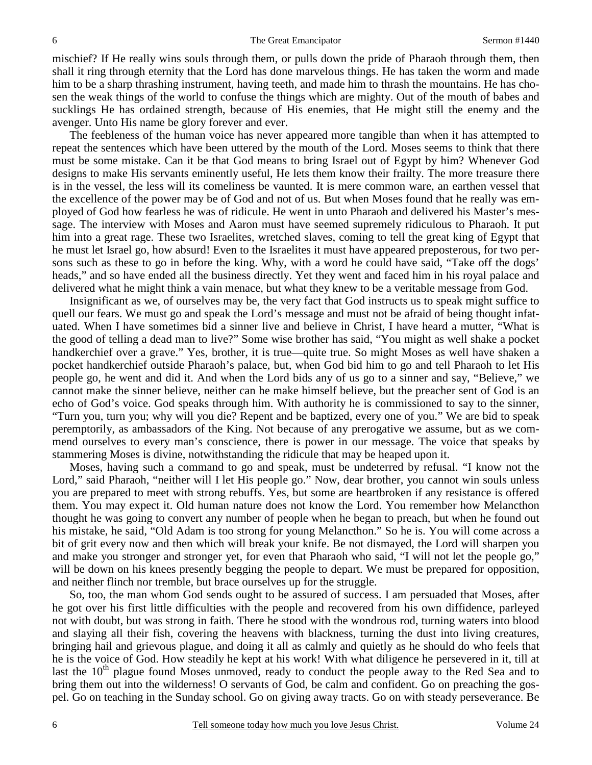mischief? If He really wins souls through them, or pulls down the pride of Pharaoh through them, then shall it ring through eternity that the Lord has done marvelous things. He has taken the worm and made him to be a sharp thrashing instrument, having teeth, and made him to thrash the mountains. He has chosen the weak things of the world to confuse the things which are mighty. Out of the mouth of babes and sucklings He has ordained strength, because of His enemies, that He might still the enemy and the avenger. Unto His name be glory forever and ever.

The feebleness of the human voice has never appeared more tangible than when it has attempted to repeat the sentences which have been uttered by the mouth of the Lord. Moses seems to think that there must be some mistake. Can it be that God means to bring Israel out of Egypt by him? Whenever God designs to make His servants eminently useful, He lets them know their frailty. The more treasure there is in the vessel, the less will its comeliness be vaunted. It is mere common ware, an earthen vessel that the excellence of the power may be of God and not of us. But when Moses found that he really was employed of God how fearless he was of ridicule. He went in unto Pharaoh and delivered his Master's message. The interview with Moses and Aaron must have seemed supremely ridiculous to Pharaoh. It put him into a great rage. These two Israelites, wretched slaves, coming to tell the great king of Egypt that he must let Israel go, how absurd! Even to the Israelites it must have appeared preposterous, for two persons such as these to go in before the king. Why, with a word he could have said, "Take off the dogs' heads," and so have ended all the business directly. Yet they went and faced him in his royal palace and delivered what he might think a vain menace, but what they knew to be a veritable message from God.

Insignificant as we, of ourselves may be, the very fact that God instructs us to speak might suffice to quell our fears. We must go and speak the Lord's message and must not be afraid of being thought infatuated. When I have sometimes bid a sinner live and believe in Christ, I have heard a mutter, "What is the good of telling a dead man to live?" Some wise brother has said, "You might as well shake a pocket handkerchief over a grave." Yes, brother, it is true—quite true. So might Moses as well have shaken a pocket handkerchief outside Pharaoh's palace, but, when God bid him to go and tell Pharaoh to let His people go, he went and did it. And when the Lord bids any of us go to a sinner and say, "Believe," we cannot make the sinner believe, neither can he make himself believe, but the preacher sent of God is an echo of God's voice. God speaks through him. With authority he is commissioned to say to the sinner, "Turn you, turn you; why will you die? Repent and be baptized, every one of you." We are bid to speak peremptorily, as ambassadors of the King. Not because of any prerogative we assume, but as we commend ourselves to every man's conscience, there is power in our message. The voice that speaks by stammering Moses is divine, notwithstanding the ridicule that may be heaped upon it.

Moses, having such a command to go and speak, must be undeterred by refusal. "I know not the Lord," said Pharaoh, "neither will I let His people go." Now, dear brother, you cannot win souls unless you are prepared to meet with strong rebuffs. Yes, but some are heartbroken if any resistance is offered them. You may expect it. Old human nature does not know the Lord. You remember how Melancthon thought he was going to convert any number of people when he began to preach, but when he found out his mistake, he said, "Old Adam is too strong for young Melancthon." So he is. You will come across a bit of grit every now and then which will break your knife. Be not dismayed, the Lord will sharpen you and make you stronger and stronger yet, for even that Pharaoh who said, "I will not let the people go," will be down on his knees presently begging the people to depart. We must be prepared for opposition, and neither flinch nor tremble, but brace ourselves up for the struggle.

So, too, the man whom God sends ought to be assured of success. I am persuaded that Moses, after he got over his first little difficulties with the people and recovered from his own diffidence, parleyed not with doubt, but was strong in faith. There he stood with the wondrous rod, turning waters into blood and slaying all their fish, covering the heavens with blackness, turning the dust into living creatures, bringing hail and grievous plague, and doing it all as calmly and quietly as he should do who feels that he is the voice of God. How steadily he kept at his work! With what diligence he persevered in it, till at last the  $10<sup>th</sup>$  plague found Moses unmoved, ready to conduct the people away to the Red Sea and to bring them out into the wilderness! O servants of God, be calm and confident. Go on preaching the gospel. Go on teaching in the Sunday school. Go on giving away tracts. Go on with steady perseverance. Be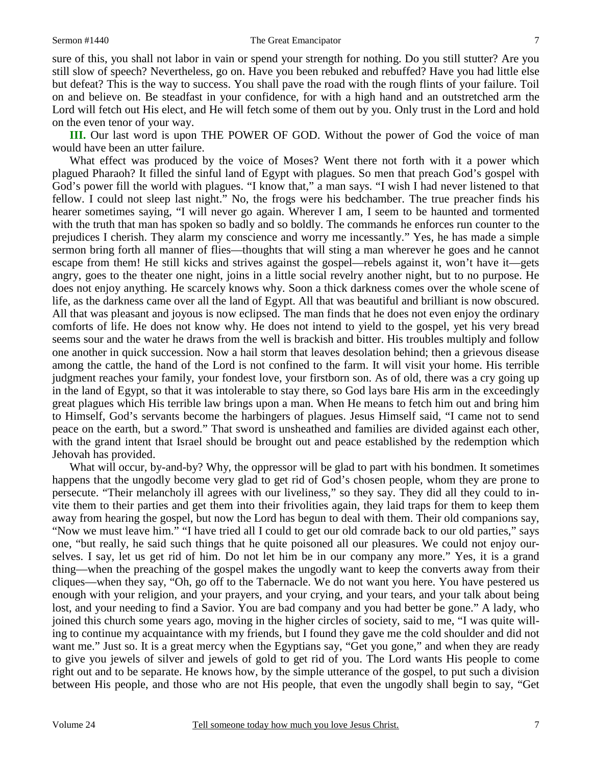sure of this, you shall not labor in vain or spend your strength for nothing. Do you still stutter? Are you still slow of speech? Nevertheless, go on. Have you been rebuked and rebuffed? Have you had little else but defeat? This is the way to success. You shall pave the road with the rough flints of your failure. Toil on and believe on. Be steadfast in your confidence, for with a high hand and an outstretched arm the Lord will fetch out His elect, and He will fetch some of them out by you. Only trust in the Lord and hold on the even tenor of your way.

**III.** Our last word is upon THE POWER OF GOD. Without the power of God the voice of man would have been an utter failure.

What effect was produced by the voice of Moses? Went there not forth with it a power which plagued Pharaoh? It filled the sinful land of Egypt with plagues. So men that preach God's gospel with God's power fill the world with plagues. "I know that," a man says. "I wish I had never listened to that fellow. I could not sleep last night." No, the frogs were his bedchamber. The true preacher finds his hearer sometimes saying, "I will never go again. Wherever I am, I seem to be haunted and tormented with the truth that man has spoken so badly and so boldly. The commands he enforces run counter to the prejudices I cherish. They alarm my conscience and worry me incessantly." Yes, he has made a simple sermon bring forth all manner of flies—thoughts that will sting a man wherever he goes and he cannot escape from them! He still kicks and strives against the gospel—rebels against it, won't have it—gets angry, goes to the theater one night, joins in a little social revelry another night, but to no purpose. He does not enjoy anything. He scarcely knows why. Soon a thick darkness comes over the whole scene of life, as the darkness came over all the land of Egypt. All that was beautiful and brilliant is now obscured. All that was pleasant and joyous is now eclipsed. The man finds that he does not even enjoy the ordinary comforts of life. He does not know why. He does not intend to yield to the gospel, yet his very bread seems sour and the water he draws from the well is brackish and bitter. His troubles multiply and follow one another in quick succession. Now a hail storm that leaves desolation behind; then a grievous disease among the cattle, the hand of the Lord is not confined to the farm. It will visit your home. His terrible judgment reaches your family, your fondest love, your firstborn son. As of old, there was a cry going up in the land of Egypt, so that it was intolerable to stay there, so God lays bare His arm in the exceedingly great plagues which His terrible law brings upon a man. When He means to fetch him out and bring him to Himself, God's servants become the harbingers of plagues. Jesus Himself said, "I came not to send peace on the earth, but a sword." That sword is unsheathed and families are divided against each other, with the grand intent that Israel should be brought out and peace established by the redemption which Jehovah has provided.

What will occur, by-and-by? Why, the oppressor will be glad to part with his bondmen. It sometimes happens that the ungodly become very glad to get rid of God's chosen people, whom they are prone to persecute. "Their melancholy ill agrees with our liveliness," so they say. They did all they could to invite them to their parties and get them into their frivolities again, they laid traps for them to keep them away from hearing the gospel, but now the Lord has begun to deal with them. Their old companions say, "Now we must leave him." "I have tried all I could to get our old comrade back to our old parties," says one, "but really, he said such things that he quite poisoned all our pleasures. We could not enjoy ourselves. I say, let us get rid of him. Do not let him be in our company any more." Yes, it is a grand thing—when the preaching of the gospel makes the ungodly want to keep the converts away from their cliques—when they say, "Oh, go off to the Tabernacle. We do not want you here. You have pestered us enough with your religion, and your prayers, and your crying, and your tears, and your talk about being lost, and your needing to find a Savior. You are bad company and you had better be gone." A lady, who joined this church some years ago, moving in the higher circles of society, said to me, "I was quite willing to continue my acquaintance with my friends, but I found they gave me the cold shoulder and did not want me." Just so. It is a great mercy when the Egyptians say, "Get you gone," and when they are ready to give you jewels of silver and jewels of gold to get rid of you. The Lord wants His people to come right out and to be separate. He knows how, by the simple utterance of the gospel, to put such a division between His people, and those who are not His people, that even the ungodly shall begin to say, "Get